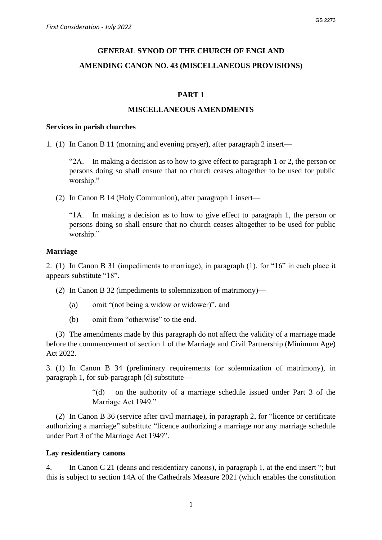# **GENERAL SYNOD OF THE CHURCH OF ENGLAND AMENDING CANON NO. 43 (MISCELLANEOUS PROVISIONS)**

## **PART 1**

## **MISCELLANEOUS AMENDMENTS**

#### **Services in parish churches**

1. (1) In Canon B 11 (morning and evening prayer), after paragraph 2 insert—

"2A. In making a decision as to how to give effect to paragraph 1 or 2, the person or persons doing so shall ensure that no church ceases altogether to be used for public worship."

(2) In Canon B 14 (Holy Communion), after paragraph 1 insert—

"1A. In making a decision as to how to give effect to paragraph 1, the person or persons doing so shall ensure that no church ceases altogether to be used for public worship."

#### **Marriage**

2. (1) In Canon B 31 (impediments to marriage), in paragraph (1), for "16" in each place it appears substitute "18".

- (2) In Canon B 32 (impediments to solemnization of matrimony)—
	- (a) omit "(not being a widow or widower)", and
	- (b) omit from "otherwise" to the end.

(3) The amendments made by this paragraph do not affect the validity of a marriage made before the commencement of section 1 of the Marriage and Civil Partnership (Minimum Age) Act 2022.

3. (1) In Canon B 34 (preliminary requirements for solemnization of matrimony), in paragraph 1, for sub-paragraph (d) substitute—

> "(d) on the authority of a marriage schedule issued under Part 3 of the Marriage Act 1949."

(2) In Canon B 36 (service after civil marriage), in paragraph 2, for "licence or certificate authorizing a marriage" substitute "licence authorizing a marriage nor any marriage schedule under Part 3 of the Marriage Act 1949".

#### **Lay residentiary canons**

4. In Canon C 21 (deans and residentiary canons), in paragraph 1, at the end insert "; but this is subject to section 14A of the Cathedrals Measure 2021 (which enables the constitution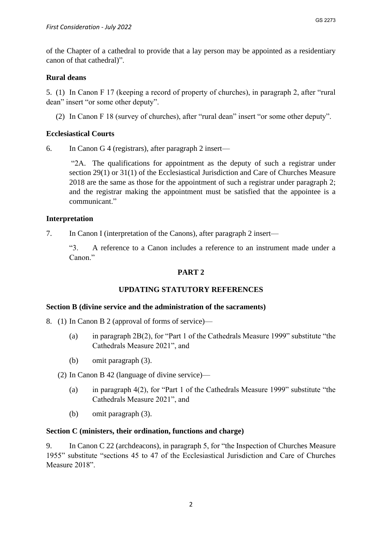of the Chapter of a cathedral to provide that a lay person may be appointed as a residentiary canon of that cathedral)".

#### **Rural deans**

5. (1) In Canon F 17 (keeping a record of property of churches), in paragraph 2, after "rural dean" insert "or some other deputy".

(2) In Canon F 18 (survey of churches), after "rural dean" insert "or some other deputy".

## **Ecclesiastical Courts**

6. In Canon G 4 (registrars), after paragraph 2 insert—

"2A. The qualifications for appointment as the deputy of such a registrar under section 29(1) or 31(1) of the Ecclesiastical Jurisdiction and Care of Churches Measure 2018 are the same as those for the appointment of such a registrar under paragraph 2; and the registrar making the appointment must be satisfied that the appointee is a communicant."

#### **Interpretation**

7. In Canon I (interpretation of the Canons), after paragraph 2 insert—

"3. A reference to a Canon includes a reference to an instrument made under a Canon."

# **PART 2**

## **UPDATING STATUTORY REFERENCES**

#### **Section B (divine service and the administration of the sacraments)**

- 8. (1) In Canon B 2 (approval of forms of service)—
	- (a) in paragraph 2B(2), for "Part 1 of the Cathedrals Measure 1999" substitute "the Cathedrals Measure 2021", and
	- (b) omit paragraph (3).
	- (2) In Canon B 42 (language of divine service)—
		- (a) in paragraph 4(2), for "Part 1 of the Cathedrals Measure 1999" substitute "the Cathedrals Measure 2021", and
		- (b) omit paragraph (3).

#### **Section C (ministers, their ordination, functions and charge)**

9. In Canon C 22 (archdeacons), in paragraph 5, for "the Inspection of Churches Measure 1955" substitute "sections 45 to 47 of the Ecclesiastical Jurisdiction and Care of Churches Measure 2018".